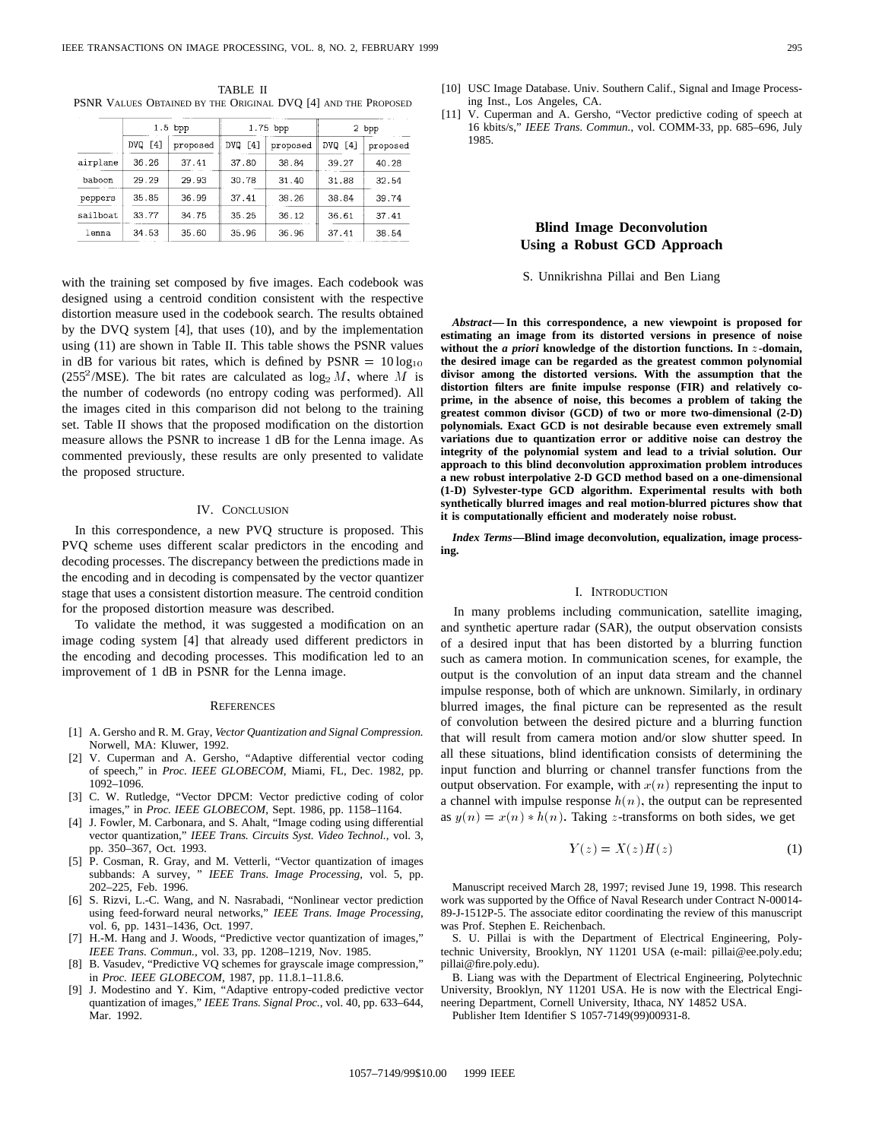TABLE II PSNR VALUES OBTAINED BY THE ORIGINAL DVQ [4] AND THE PROPOSED

|          |                          | $1.5$ bpp |            | 1.75 bpp |              | 2 bpp    |
|----------|--------------------------|-----------|------------|----------|--------------|----------|
|          | $\lceil 4 \rceil$<br>DVQ | proposed  | [4]<br>DVQ | proposed | $[4]$<br>DVQ | proposed |
| airplane | 36.26                    | 37.41     | 37.80      | 38.84    | 39.27        | 40.28    |
| baboon   | 29.29                    | 29.93     | 30.78      | 31.40    | 31.88        | 32.54    |
| peppers  | 35.85                    | 36.99     | 37.41      | 38.26    | 38.84        | 39.74    |
| sailboat | 33.77                    | 34.75     | 35.25      | 36.12    | 36.61        | 37.41    |
| lenna    | 34.53                    | 35.60     | 35.96      | 36.96    | 37.41        | 38.54    |

with the training set composed by five images. Each codebook was designed using a centroid condition consistent with the respective distortion measure used in the codebook search. The results obtained by the DVQ system [4], that uses (10), and by the implementation using (11) are shown in Table II. This table shows the PSNR values in dB for various bit rates, which is defined by  $PSNR = 10 \log_{10}$ (255<sup>2</sup>/MSE). The bit rates are calculated as  $log_2 M$ , where M is the number of codewords (no entropy coding was performed). All the images cited in this comparison did not belong to the training set. Table II shows that the proposed modification on the distortion measure allows the PSNR to increase 1 dB for the Lenna image. As commented previously, these results are only presented to validate the proposed structure.

## IV. CONCLUSION

In this correspondence, a new PVQ structure is proposed. This PVQ scheme uses different scalar predictors in the encoding and decoding processes. The discrepancy between the predictions made in the encoding and in decoding is compensated by the vector quantizer stage that uses a consistent distortion measure. The centroid condition for the proposed distortion measure was described.

To validate the method, it was suggested a modification on an image coding system [4] that already used different predictors in the encoding and decoding processes. This modification led to an improvement of 1 dB in PSNR for the Lenna image.

#### **REFERENCES**

- [1] A. Gersho and R. M. Gray, *Vector Quantization and Signal Compression.* Norwell, MA: Kluwer, 1992.
- V. Cuperman and A. Gersho, "Adaptive differential vector coding of speech," in *Proc. IEEE GLOBECOM*, Miami, FL, Dec. 1982, pp. 1092–1096.
- [3] C. W. Rutledge, "Vector DPCM: Vector predictive coding of color images," in *Proc. IEEE GLOBECOM*, Sept. 1986, pp. 1158–1164.
- [4] J. Fowler, M. Carbonara, and S. Ahalt, "Image coding using differential vector quantization," *IEEE Trans. Circuits Syst. Video Technol.*, vol. 3, pp. 350–367, Oct. 1993.
- [5] P. Cosman, R. Gray, and M. Vetterli, "Vector quantization of images subbands: A survey, " *IEEE Trans. Image Processing*, vol. 5, pp. 202–225, Feb. 1996.
- [6] S. Rizvi, L.-C. Wang, and N. Nasrabadi, "Nonlinear vector prediction using feed-forward neural networks," *IEEE Trans. Image Processing*, vol. 6, pp. 1431–1436, Oct. 1997.
- [7] H.-M. Hang and J. Woods, "Predictive vector quantization of images," *IEEE Trans. Commun.*, vol. 33, pp. 1208–1219, Nov. 1985.
- [8] B. Vasudev, "Predictive VQ schemes for grayscale image compression," in *Proc. IEEE GLOBECOM*, 1987, pp. 11.8.1–11.8.6.
- [9] J. Modestino and Y. Kim, "Adaptive entropy-coded predictive vector quantization of images," *IEEE Trans. Signal Proc.*, vol. 40, pp. 633–644, Mar. 1992.
- [10] USC Image Database. Univ. Southern Calif., Signal and Image Processing Inst., Los Angeles, CA.
- [11] V. Cuperman and A. Gersho, "Vector predictive coding of speech at 16 kbits/s," *IEEE Trans. Commun.*, vol. COMM-33, pp. 685–696, July 1985.

# **Blind Image Deconvolution Using a Robust GCD Approach**

S. Unnikrishna Pillai and Ben Liang

*Abstract—* **In this correspondence, a new viewpoint is proposed for estimating an image from its distorted versions in presence of noise without the** *a priori* **knowledge of the distortion functions. In** z**-domain, the desired image can be regarded as the greatest common polynomial divisor among the distorted versions. With the assumption that the distortion filters are finite impulse response (FIR) and relatively coprime, in the absence of noise, this becomes a problem of taking the greatest common divisor (GCD) of two or more two-dimensional (2-D) polynomials. Exact GCD is not desirable because even extremely small variations due to quantization error or additive noise can destroy the integrity of the polynomial system and lead to a trivial solution. Our approach to this blind deconvolution approximation problem introduces a new robust interpolative 2-D GCD method based on a one-dimensional (1-D) Sylvester-type GCD algorithm. Experimental results with both synthetically blurred images and real motion-blurred pictures show that it is computationally efficient and moderately noise robust.**

*Index Terms—***Blind image deconvolution, equalization, image processing.**

#### I. INTRODUCTION

In many problems including communication, satellite imaging, and synthetic aperture radar (SAR), the output observation consists of a desired input that has been distorted by a blurring function such as camera motion. In communication scenes, for example, the output is the convolution of an input data stream and the channel impulse response, both of which are unknown. Similarly, in ordinary blurred images, the final picture can be represented as the result of convolution between the desired picture and a blurring function that will result from camera motion and/or slow shutter speed. In all these situations, blind identification consists of determining the input function and blurring or channel transfer functions from the output observation. For example, with  $x(n)$  representing the input to a channel with impulse response  $h(n)$ , the output can be represented as  $y(n) = x(n) * h(n)$ . Taking z-transforms on both sides, we get

$$
Y(z) = X(z)H(z)
$$
 (1)

Manuscript received March 28, 1997; revised June 19, 1998. This research work was supported by the Office of Naval Research under Contract N-00014- 89-J-1512P-5. The associate editor coordinating the review of this manuscript was Prof. Stephen E. Reichenbach.

S. U. Pillai is with the Department of Electrical Engineering, Polytechnic University, Brooklyn, NY 11201 USA (e-mail: pillai@ee.poly.edu; pillai@fire.poly.edu).

B. Liang was with the Department of Electrical Engineering, Polytechnic University, Brooklyn, NY 11201 USA. He is now with the Electrical Engineering Department, Cornell University, Ithaca, NY 14852 USA.

Publisher Item Identifier S 1057-7149(99)00931-8.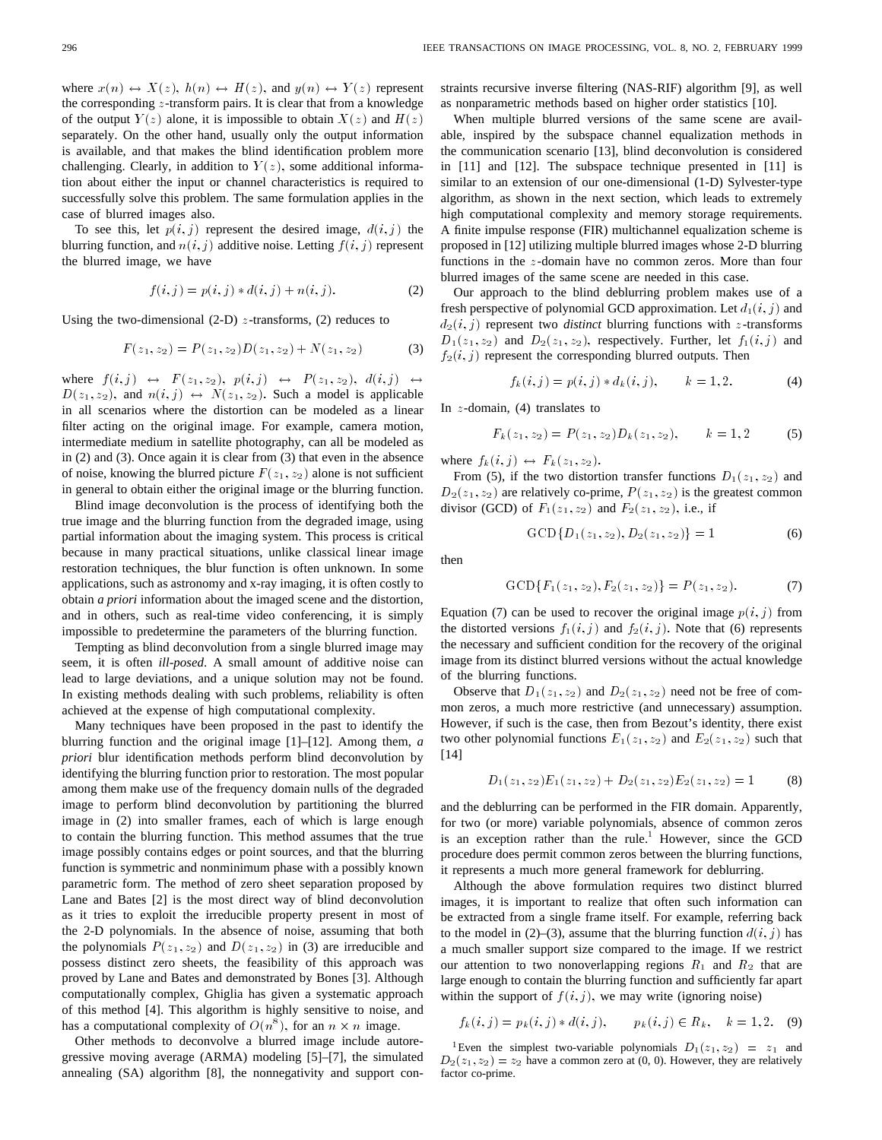where  $x(n) \leftrightarrow X(z)$ ,  $h(n) \leftrightarrow H(z)$ , and  $y(n) \leftrightarrow Y(z)$  represent the corresponding  $z$ -transform pairs. It is clear that from a knowledge of the output  $Y(z)$  alone, it is impossible to obtain  $X(z)$  and  $H(z)$ separately. On the other hand, usually only the output information is available, and that makes the blind identification problem more challenging. Clearly, in addition to  $Y(z)$ , some additional information about either the input or channel characteristics is required to successfully solve this problem. The same formulation applies in the case of blurred images also.

To see this, let  $p(i, j)$  represent the desired image,  $d(i, j)$  the blurring function, and  $n(i, j)$  additive noise. Letting  $f(i, j)$  represent the blurred image, we have

$$
f(i, j) = p(i, j) * d(i, j) + n(i, j).
$$
 (2)

Using the two-dimensional  $(2-D)$  *z*-transforms,  $(2)$  reduces to

$$
F(z_1, z_2) = P(z_1, z_2)D(z_1, z_2) + N(z_1, z_2)
$$
 (3)

where  $f(i, j) \leftrightarrow F(z_1, z_2), p(i, j) \leftrightarrow P(z_1, z_2), d(i, j) \leftrightarrow$  $D(z_1, z_2)$ , and  $n(i, j) \leftrightarrow N(z_1, z_2)$ . Such a model is applicable in all scenarios where the distortion can be modeled as a linear filter acting on the original image. For example, camera motion, intermediate medium in satellite photography, can all be modeled as in (2) and (3). Once again it is clear from (3) that even in the absence of noise, knowing the blurred picture  $F(z_1, z_2)$  alone is not sufficient in general to obtain either the original image or the blurring function.

Blind image deconvolution is the process of identifying both the true image and the blurring function from the degraded image, using partial information about the imaging system. This process is critical because in many practical situations, unlike classical linear image restoration techniques, the blur function is often unknown. In some applications, such as astronomy and x-ray imaging, it is often costly to obtain *a priori* information about the imaged scene and the distortion, and in others, such as real-time video conferencing, it is simply impossible to predetermine the parameters of the blurring function.

Tempting as blind deconvolution from a single blurred image may seem, it is often *ill-posed*. A small amount of additive noise can lead to large deviations, and a unique solution may not be found. In existing methods dealing with such problems, reliability is often achieved at the expense of high computational complexity.

Many techniques have been proposed in the past to identify the blurring function and the original image [1]–[12]. Among them, *a priori* blur identification methods perform blind deconvolution by identifying the blurring function prior to restoration. The most popular among them make use of the frequency domain nulls of the degraded image to perform blind deconvolution by partitioning the blurred image in (2) into smaller frames, each of which is large enough to contain the blurring function. This method assumes that the true image possibly contains edges or point sources, and that the blurring function is symmetric and nonminimum phase with a possibly known parametric form. The method of zero sheet separation proposed by Lane and Bates [2] is the most direct way of blind deconvolution as it tries to exploit the irreducible property present in most of the 2-D polynomials. In the absence of noise, assuming that both the polynomials  $P(z_1, z_2)$  and  $D(z_1, z_2)$  in (3) are irreducible and possess distinct zero sheets, the feasibility of this approach was proved by Lane and Bates and demonstrated by Bones [3]. Although computationally complex, Ghiglia has given a systematic approach of this method [4]. This algorithm is highly sensitive to noise, and has a computational complexity of  $O(n^8)$ , for an  $n \times n$  image.

Other methods to deconvolve a blurred image include autoregressive moving average (ARMA) modeling [5]–[7], the simulated annealing (SA) algorithm [8], the nonnegativity and support constraints recursive inverse filtering (NAS-RIF) algorithm [9], as well as nonparametric methods based on higher order statistics [10].

When multiple blurred versions of the same scene are available, inspired by the subspace channel equalization methods in the communication scenario [13], blind deconvolution is considered in [11] and [12]. The subspace technique presented in [11] is similar to an extension of our one-dimensional (1-D) Sylvester-type algorithm, as shown in the next section, which leads to extremely high computational complexity and memory storage requirements. A finite impulse response (FIR) multichannel equalization scheme is proposed in [12] utilizing multiple blurred images whose 2-D blurring functions in the z-domain have no common zeros. More than four blurred images of the same scene are needed in this case.

Our approach to the blind deblurring problem makes use of a fresh perspective of polynomial GCD approximation. Let  $d_1(i, j)$  and  $d_2(i, j)$  represent two *distinct* blurring functions with z-transforms  $D_1(z_1, z_2)$  and  $D_2(z_1, z_2)$ , respectively. Further, let  $f_1(i, j)$  and  $f_2(i, j)$  represent the corresponding blurred outputs. Then

$$
f_k(i,j) = p(i,j) * d_k(i,j), \qquad k = 1,2.
$$
 (4)

In  $z$ -domain, (4) translates to

$$
F_k(z_1, z_2) = P(z_1, z_2) D_k(z_1, z_2), \qquad k = 1, 2 \tag{5}
$$

where  $f_k(i, j) \leftrightarrow F_k(z_1, z_2)$ .

From (5), if the two distortion transfer functions  $D_1(z_1, z_2)$  and  $D_2(z_1, z_2)$  are relatively co-prime,  $P(z_1, z_2)$  is the greatest common divisor (GCD) of  $F_1(z_1, z_2)$  and  $F_2(z_1, z_2)$ , i.e., if

$$
GCD\{D_1(z_1, z_2), D_2(z_1, z_2)\} = 1
$$
\n(6)

then

$$
GCD{F1(z1, z2), F2(z1, z2)} = P(z1, z2).
$$
 (7)

Equation (7) can be used to recover the original image  $p(i, j)$  from the distorted versions  $f_1(i, j)$  and  $f_2(i, j)$ . Note that (6) represents the necessary and sufficient condition for the recovery of the original image from its distinct blurred versions without the actual knowledge of the blurring functions.

Observe that  $D_1(z_1, z_2)$  and  $D_2(z_1, z_2)$  need not be free of common zeros, a much more restrictive (and unnecessary) assumption. However, if such is the case, then from Bezout's identity, there exist two other polynomial functions  $E_1(z_1, z_2)$  and  $E_2(z_1, z_2)$  such that [14]

$$
D_1(z_1, z_2)E_1(z_1, z_2) + D_2(z_1, z_2)E_2(z_1, z_2) = 1
$$
 (8)

and the deblurring can be performed in the FIR domain. Apparently, for two (or more) variable polynomials, absence of common zeros is an exception rather than the rule.<sup>1</sup> However, since the GCD procedure does permit common zeros between the blurring functions, it represents a much more general framework for deblurring.

Although the above formulation requires two distinct blurred images, it is important to realize that often such information can be extracted from a single frame itself. For example, referring back to the model in (2)–(3), assume that the blurring function  $d(i, j)$  has a much smaller support size compared to the image. If we restrict our attention to two nonoverlapping regions  $R_1$  and  $R_2$  that are large enough to contain the blurring function and sufficiently far apart within the support of  $f(i, j)$ , we may write (ignoring noise)

$$
f_k(i,j) = p_k(i,j) * d(i,j), \qquad p_k(i,j) \in R_k, \quad k = 1,2. \tag{9}
$$

<sup>1</sup>Even the simplest two-variable polynomials  $D_1(z_1, z_2) = z_1$  and  $D_2(z_1, z_2) = z_2$  have a common zero at (0, 0). However, they are relatively factor co-prime.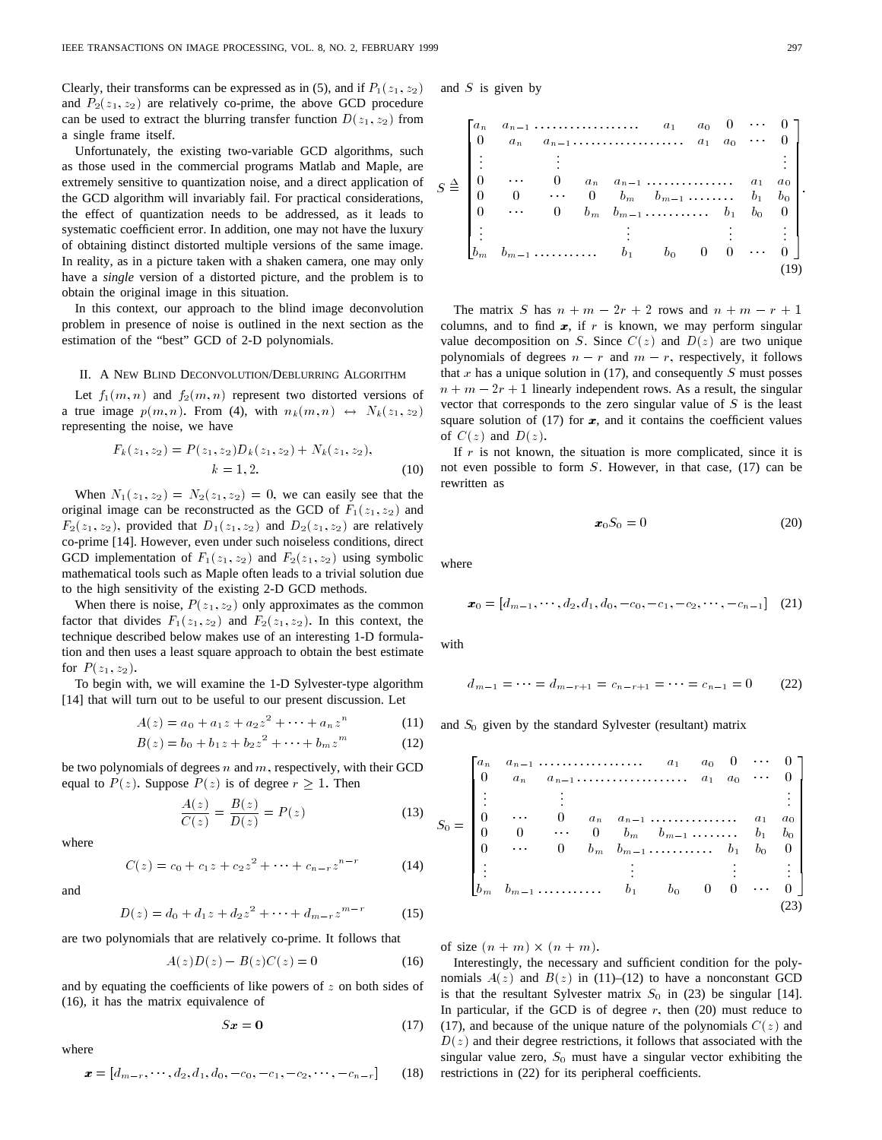Clearly, their transforms can be expressed as in (5), and if  $P_1(z_1, z_2)$ and  $P_2(z_1, z_2)$  are relatively co-prime, the above GCD procedure can be used to extract the blurring transfer function  $D(z_1, z_2)$  from a single frame itself.

Unfortunately, the existing two-variable GCD algorithms, such as those used in the commercial programs Matlab and Maple, are extremely sensitive to quantization noise, and a direct application of the GCD algorithm will invariably fail. For practical considerations, the effect of quantization needs to be addressed, as it leads to systematic coefficient error. In addition, one may not have the luxury of obtaining distinct distorted multiple versions of the same image. In reality, as in a picture taken with a shaken camera, one may only have a *single* version of a distorted picture, and the problem is to obtain the original image in this situation.

In this context, our approach to the blind image deconvolution problem in presence of noise is outlined in the next section as the estimation of the "best" GCD of 2-D polynomials.

#### II. A NEW BLIND DECONVOLUTION/DEBLURRING ALGORITHM

Let  $f_1(m, n)$  and  $f_2(m, n)$  represent two distorted versions of a true image  $p(m, n)$ . From (4), with  $n_k(m, n) \leftrightarrow N_k(z_1, z_2)$ representing the noise, we have

$$
F_k(z_1, z_2) = P(z_1, z_2)D_k(z_1, z_2) + N_k(z_1, z_2),
$$
  
\n
$$
k = 1, 2.
$$
 (10)

When  $N_1(z_1, z_2) = N_2(z_1, z_2) = 0$ , we can easily see that the original image can be reconstructed as the GCD of  $F_1(z_1, z_2)$  and  $F_2(z_1, z_2)$ , provided that  $D_1(z_1, z_2)$  and  $D_2(z_1, z_2)$  are relatively co-prime [14]. However, even under such noiseless conditions, direct GCD implementation of  $F_1(z_1, z_2)$  and  $F_2(z_1, z_2)$  using symbolic mathematical tools such as Maple often leads to a trivial solution due to the high sensitivity of the existing 2-D GCD methods.

When there is noise,  $P(z_1, z_2)$  only approximates as the common factor that divides  $F_1(z_1, z_2)$  and  $F_2(z_1, z_2)$ . In this context, the technique described below makes use of an interesting 1-D formulation and then uses a least square approach to obtain the best estimate for  $P(z_1, z_2)$ .

To begin with, we will examine the 1-D Sylvester-type algorithm [14] that will turn out to be useful to our present discussion. Let

$$
A(z) = a_0 + a_1 z + a_2 z^2 + \dots + a_n z^n \tag{11}
$$

$$
B(z) = b_0 + b_1 z + b_2 z^2 + \dots + b_m z^m \tag{12}
$$

be two polynomials of degrees  $n$  and  $m$ , respectively, with their GCD equal to  $P(z)$ . Suppose  $P(z)$  is of degree  $r \geq 1$ . Then

$$
\frac{A(z)}{C(z)} = \frac{B(z)}{D(z)} = P(z)
$$
\n(13)

where

$$
C(z) = D(z)
$$
  

$$
C(z) = c_0 + c_1 z + c_2 z^2 + \dots + c_{n-r} z^{n-r}
$$
 (14)

and

$$
D(z) = d_0 + d_1 z + d_2 z^2 + \dots + d_{m-r} z^{m-r}
$$
 (15)

are two polynomials that are relatively co-prime. It follows that

$$
A(z)D(z) - B(z)C(z) = 0
$$
 (16)

and by equating the coefficients of like powers of  $z$  on both sides of (16), it has the matrix equivalence of

$$
Sx = 0 \tag{17}
$$

where

re  

$$
\boldsymbol{x} = [d_{m-r}, \cdots, d_2, d_1, d_0, -c_0, -c_1, -c_2, \cdots, -c_{n-r}] \qquad (18)
$$

and  $S$  is given by

and *S* is given by  
\n
$$
S \triangleq \begin{bmatrix}\na_n & a_{n-1} & \cdots & \cdots & \cdots & \cdots & a_1 & a_0 & 0 & \cdots & 0 \\
0 & a_n & a_{n-1} & \cdots & \cdots & \cdots & \cdots & a_1 & a_0 & \cdots & 0 \\
\vdots & \vdots & \vdots & & & & & \vdots \\
0 & \cdots & 0 & a_n & a_{n-1} & \cdots & \cdots & a_1 & a_0 \\
0 & 0 & \cdots & 0 & b_m & b_{m-1} & \cdots & \cdots & b_1 & b_0 \\
\vdots & & & & & & \vdots & \vdots & \vdots \\
b_m & b_{m-1} & \cdots & \cdots & \cdots & b_1 & b_0 & 0 & 0 & \cdots & 0\n\end{bmatrix}
$$
\n
$$
\vdots
$$
\n
$$
\vdots
$$
\n
$$
\vdots
$$
\n
$$
\vdots
$$
\n
$$
\vdots
$$
\n
$$
\vdots
$$
\n
$$
\vdots
$$
\n
$$
\vdots
$$
\n
$$
\vdots
$$
\n
$$
\vdots
$$
\n
$$
\vdots
$$
\n
$$
\vdots
$$
\n
$$
\vdots
$$
\n
$$
\vdots
$$
\n
$$
\vdots
$$
\n
$$
\vdots
$$
\n
$$
\vdots
$$
\n
$$
\vdots
$$
\n
$$
\vdots
$$
\n
$$
\vdots
$$
\n
$$
\vdots
$$
\n
$$
\vdots
$$
\n
$$
\vdots
$$
\n
$$
\vdots
$$
\n
$$
\vdots
$$
\n
$$
\vdots
$$
\n
$$
\vdots
$$
\n
$$
\vdots
$$
\n
$$
\vdots
$$
\n
$$
\vdots
$$
\n
$$
\vdots
$$
\n
$$
\vdots
$$
\n
$$
\vdots
$$
\n
$$
\vdots
$$
\n
$$
\vdots
$$
\n
$$
\vdots
$$
\n
$$
\vdots
$$
\n
$$
\vdots
$$
\n
$$
\vdots
$$
\n
$$
\vdots
$$
\n $$ 

The matrix S has  $n + m - 2r + 2$  rows and  $n + m - r + 1$ columns, and to find  $x$ , if  $r$  is known, we may perform singular value decomposition on S. Since  $C(z)$  and  $D(z)$  are two unique polynomials of degrees  $n - r$  and  $m - r$ , respectively, it follows that  $x$  has a unique solution in (17), and consequently  $S$  must posses  $n + m - 2r + 1$  linearly independent rows. As a result, the singular vector that corresponds to the zero singular value of  $S$  is the least square solution of  $(17)$  for x, and it contains the coefficient values of  $C(z)$  and  $D(z)$ .

If  $r$  is not known, the situation is more complicated, since it is not even possible to form  $S$ . However, in that case,  $(17)$  can be rewritten as

$$
x_0 S_0 = 0 \tag{20}
$$

where

$$
\mathbf{x}_0 = [d_{m-1}, \cdots, d_2, d_1, d_0, -c_0, -c_1, -c_2, \cdots, -c_{n-1}] \quad (21)
$$

with

$$
d_{m-1} = \dots = d_{m-r+1} = c_{n-r+1} = \dots = c_{n-1} = 0 \tag{22}
$$

and  $S_0$  given by the standard Sylvester (resultant) matrix



of size  $(n + m) \times (n + m)$ .

Interestingly, the necessary and sufficient condition for the polynomials  $A(z)$  and  $B(z)$  in (11)–(12) to have a nonconstant GCD is that the resultant Sylvester matrix  $S_0$  in (23) be singular [14]. In particular, if the GCD is of degree  $r$ , then (20) must reduce to (17), and because of the unique nature of the polynomials  $C(z)$  and  $D(z)$  and their degree restrictions, it follows that associated with the singular value zero,  $S_0$  must have a singular vector exhibiting the restrictions in (22) for its peripheral coefficients.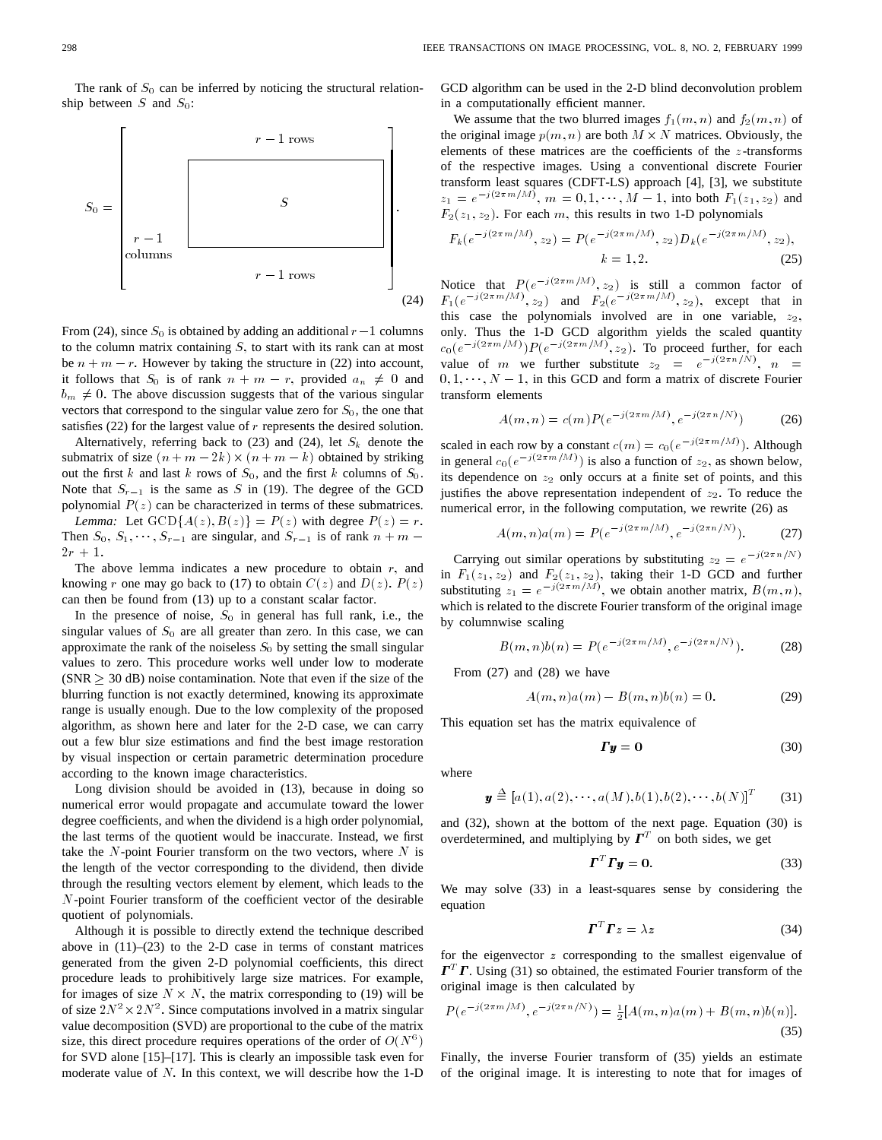The rank of  $S_0$  can be inferred by noticing the structural relationship between  $S$  and  $S_0$ :



From (24), since  $S_0$  is obtained by adding an additional  $r-1$  columns to the column matrix containing  $S$ , to start with its rank can at most be  $n + m - r$ . However by taking the structure in (22) into account, it follows that  $S_0$  is of rank  $n + m - r$ , provided  $a_n \neq 0$  and  $b_m \neq 0$ . The above discussion suggests that of the various singular vectors that correspond to the singular value zero for  $S_0$ , the one that satisfies  $(22)$  for the largest value of r represents the desired solution.

Alternatively, referring back to  $(23)$  and  $(24)$ , let  $S_k$  denote the submatrix of size  $(n + m - 2k) \times (n + m - k)$  obtained by striking out the first k and last k rows of  $S_0$ , and the first k columns of  $S_0$ . submatrix of size  $(n + m - 2k) \times (n + m - k)$  obtained by striking<br>out the first k and last k rows of  $S_0$ , and the first k columns of  $S_0$ .<br>Note that  $S_{r-1}$  is the same as S in (19). The degree of the GCD polynomial  $P(z)$  can be characterized in terms of these submatrices. *Lemma:* Let  $GCD{A(z), B(z)} = P(z)$  with degree  $P(z) = r$ . Then  $S_0$ ,  $S_1$ ,  $\cdots$ ,  $S_{r-1}$  are singular, and  $S_{r-1}$  is of rank  $n + m -$ 

 $2r + 1.$ The above lemma indicates a new procedure to obtain  $r$ , and knowing r one may go back to (17) to obtain  $C(z)$  and  $D(z)$ .  $P(z)$ 

can then be found from (13) up to a constant scalar factor. In the presence of noise,  $S_0$  in general has full rank, i.e., the singular values of  $S_0$  are all greater than zero. In this case, we can approximate the rank of the noiseless  $S_0$  by setting the small singular values to zero. This procedure works well under low to moderate (SNR  $\geq$  30 dB) noise contamination. Note that even if the size of the blurring function is not exactly determined, knowing its approximate range is usually enough. Due to the low complexity of the proposed algorithm, as shown here and later for the 2-D case, we can carry out a few blur size estimations and find the best image restoration by visual inspection or certain parametric determination procedure according to the known image characteristics.

Long division should be avoided in (13), because in doing so numerical error would propagate and accumulate toward the lower degree coefficients, and when the dividend is a high order polynomial, the last terms of the quotient would be inaccurate. Instead, we first take the  $N$ -point Fourier transform on the two vectors, where  $N$  is the length of the vector corresponding to the dividend, then divide through the resulting vectors element by element, which leads to the N-point Fourier transform of the coefficient vector of the desirable quotient of polynomials.

Although it is possible to directly extend the technique described above in  $(11)$ – $(23)$  to the 2-D case in terms of constant matrices generated from the given 2-D polynomial coefficients, this direct procedure leads to prohibitively large size matrices. For example, for images of size  $N \times N$ , the matrix corresponding to (19) will be of size  $2N^2 \times 2N^2$ . Since computations involved in a matrix singular value decomposition (SVD) are proportional to the cube of the matrix size, this direct procedure requires operations of the order of  $O(N^6)$ for SVD alone [15]–[17]. This is clearly an impossible task even for moderate value of N: In this context, we will describe how the 1-D

GCD algorithm can be used in the 2-D blind deconvolution problem in a computationally efficient manner.

We assume that the two blurred images  $f_1(m, n)$  and  $f_2(m, n)$  of the original image  $p(m, n)$  are both  $M \times N$  matrices. Obviously, the elements of these matrices are the coefficients of the z-transforms of the respective images. Using a conventional discrete Fourier transform least squares (CDFT-LS) approach [4], [3], we substitute for the respective images. Using a conventional discrete Fourier<br>transform least squares (CDFT-LS) approach [4], [3], we substitute<br> $z_1 = e^{-j(2\pi m/M)}$ ,  $m = 0, 1, \dots, M - 1$ , into both  $F_1(z_1, z_2)$  and<br> $F_2(z_1, z_2)$ . For each  $F_2(z_1, z_2)$ . For each m, this results in two 1-D polynomials

$$
F_k(e^{-j(2\pi m/M)}, z_2) = P(e^{-j(2\pi m/M)}, z_2)D_k(e^{-j(2\pi m/M)}, z_2),
$$
  
\n
$$
k = 1, 2.
$$
 (25)  
\nNotice that  $P(e^{-j(2\pi m/M)}, z_2)$  is still a common factor of

 $k = 1, 2.$  (25)<br>
Notice that  $P(e^{-j(2\pi m/M)}, z_2)$  is still a common factor of  $F_1(e^{-j(2\pi m/M)}, z_2)$  and  $F_2(e^{-j(2\pi m/M)}, z_2)$ , except that in this case the polynomials involved are in one variable,  $z_2$ , only. Thus the 1-D GCD algorithm yields the scaled quantity this case the polynomials involved are in one variable,  $z_2$ ,<br>only. Thus the 1-D GCD algorithm yields the scaled quantity<br> $c_0(e^{-j(2\pi m/M)})P(e^{-j(2\pi m/M)}, z_2)$ . To proceed further, for each only. Thus the 1-D GCD algorithm yields the scaled<br>  $c_0(e^{-j(2\pi m/M)})P(e^{-j(2\pi m/M)}, z_2)$ . To proceed further,<br>
value of m we further substitute  $z_2 = e^{-j(2\pi n/N)}$ value of m we further substitute  $z_2 = e^{-j(2\pi n/N)}$ ,  $n =$ 0, 1,  $\cdots$ ,  $N-1$ , in this GCD and form a matrix of discrete Fourier<br>transform elements<br> $A(m, n) = c(m)P(e^{-j(2\pi m/M)}, e^{-j(2\pi n/N)})$  (26) transform elements

$$
A(m, n) = c(m)P(e^{-j(2\pi m/M)}, e^{-j(2\pi n/N)})
$$
 (26)  
scaled in each row by a constant  $c(m) = c_0(e^{-j(2\pi m/M)})$ . Although

 $A(m, n) = c(r)$ <br>scaled in each row by a co<br>in general  $c_0(e^{-j(2\pi m/M)})$ in general  $c_0(e^{-j(2\pi m/M)})$  is also a function of  $z_2$ , as shown below, its dependence on  $z_2$  only occurs at a finite set of points, and this justifies the above representation independent of  $z_2$ . To reduce the numerical error, in the following computation, we rewrite (26) as e above representation independent of  $z_2$ . Terror, in the following computation, we rewrite  $A(m, n)a(m) = P(e^{-j(2\pi m/M)}, e^{-j(2\pi n/N)})$ 

$$
A(m, n)a(m) = P(e^{-j(2\pi m/M)}, e^{-j(2\pi n/N)}).
$$
 (27)

Carrying out similar operations by substituting  $z_2 = e^{-j(2\pi n/N)}$ in  $F_1(z_1, z_2)$  and  $F_2(z_1, z_2)$ , taking their 1-D GCD and further Carrying out similar operations by substituting  $z_2 = e^{-j(2\pi n/N)}$ <br>in  $F_1(z_1, z_2)$  and  $F_2(z_1, z_2)$ , taking their 1-D GCD and further<br>substituting  $z_1 = e^{-j(2\pi m/M)}$ , we obtain another matrix,  $B(m, n)$ , which is related to the discrete Fourier transform of the original image<br>by columnwise scaling<br> $B(m, n)b(n) = P(e^{-j(2\pi m/M)}, e^{-j(2\pi n/N)}).$  (28) by columnwise scaling

$$
B(m, n)b(n) = P(e^{-j(2\pi m/M)}, e^{-j(2\pi n/N)}).
$$
 (28)

From (27) and (28) we have

$$
A(m, n)a(m) - B(m, n)b(n) = 0.
$$
 (29)

This equation set has the matrix equivalence of

$$
\Gamma y = 0 \tag{30}
$$

where

$$
\mathbf{y} \stackrel{\Delta}{=} [a(1), a(2), \cdots, a(M), b(1), b(2), \cdots, b(N)]^T
$$
 (31)

and (32), shown at the bottom of the next page. Equation (30) is overdetermined, and multiplying by  $\mathbf{\Gamma}^T$  on both sides, we get

$$
\boldsymbol{\Gamma}^T \boldsymbol{\Gamma} \boldsymbol{y} = 0. \tag{33}
$$

We may solve (33) in a least-squares sense by considering the equation

$$
\boldsymbol{\Gamma}^T \boldsymbol{\Gamma} \boldsymbol{z} = \lambda \boldsymbol{z} \tag{34}
$$

for the eigenvector z corresponding to the smallest eigenvalue of  $T^T T$ . Using (31) so obtained, the estimated Fourier transform of the original image is then calculated by  $P^T \Gamma$ . Using (31) so obtained<br>priginal image is then calcu<br> $P(e^{-j(2\pi m/M)}, e^{-j(2\pi n/N)})$ 

$$
P(e^{-j(2\pi m/M)}, e^{-j(2\pi n/N)}) = \frac{1}{2}[A(m,n)a(m) + B(m,n)b(n)].
$$
\n(35)

Finally, the inverse Fourier transform of (35) yields an estimate of the original image. It is interesting to note that for images of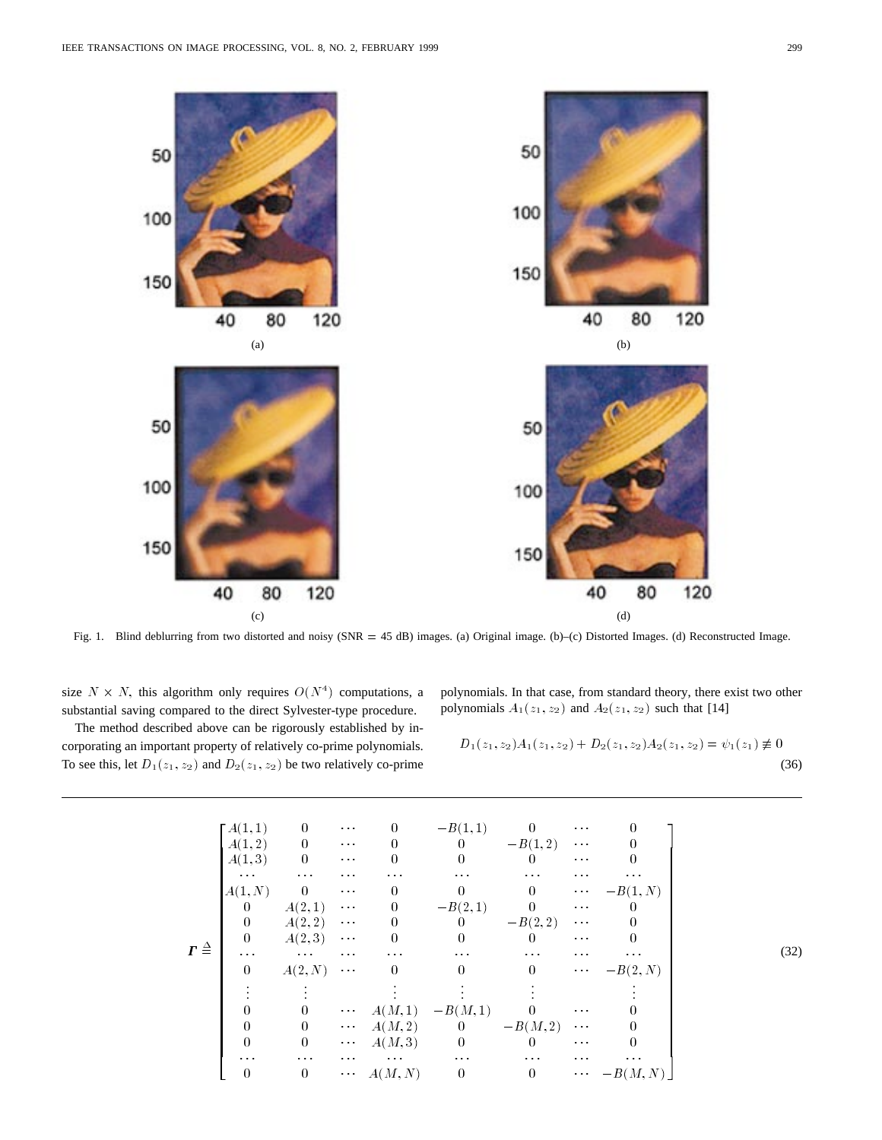

Fig. 1. Blind deblurring from two distorted and noisy (SNR <sup>=</sup> 45 dB) images. (a) Original image. (b)–(c) Distorted Images. (d) Reconstructed Image.

size  $N \times N$ , this algorithm only requires  $O(N^4)$  computations, a substantial saving compared to the direct Sylvester-type procedure.

polynomials. In that case, from standard theory, there exist two other polynomials  $A_1(z_1, z_2)$  and  $A_2(z_1, z_2)$  such that [14]

The method described above can be rigorously established by in-  
corporating an important property of relatively co-prime polynomials. 
$$
D_1(z_1, z_2)A_1(z_1, z_2) + D_2(z_1, z_2)
$$
  
To see this, let  $D_1(z_1, z_2)$  and  $D_2(z_1, z_2)$  be two relatively co-prime

$$
D_1(z_1, z_2)A_1(z_1, z_2) + D_2(z_1, z_2)A_2(z_1, z_2) = \psi_1(z_1) \neq 0
$$
\n(36)

|                     | $\vert A(1,1)$                | $\mathbf{0}$                        | $\sim$ $\sim$                  | $\overline{0}$                 | $-B(1,1)$ 0              |                          | $\alpha$ , $\alpha$ , $\alpha$ | $\overline{0}$       |
|---------------------|-------------------------------|-------------------------------------|--------------------------------|--------------------------------|--------------------------|--------------------------|--------------------------------|----------------------|
|                     | A(1,2)                        | $\overline{\phantom{0}}$            | $\sim$ $\sim$                  | $\overline{\phantom{0}}$       | $\overline{\phantom{0}}$ | $-B(1,2)$                | $\sim$ 1.4 $\pm$               |                      |
|                     | A(1,3)                        | $\overline{\phantom{0}}$            | $\sim 100$                     | $\overline{0}$                 | $\overline{\phantom{0}}$ | $\theta$                 | $\sim 0.1$                     | $\overline{0}$       |
|                     | $\sim$ 10 $\mu$               | $\sim$ $\sim$                       | $\sim$ 1.0 $\pm$               | $\sim$ $\sim$ $\sim$           | $\sim$ $\sim$ $\sim$     | $\sim 100$               | $\sim 100$                     | $\sim 100$           |
|                     | A(1,N)                        | $\begin{array}{cc} & 0 \end{array}$ | $\sim$ $\sim$                  | $\overline{\phantom{0}}$       | $\mathbf{0}$             | $\overline{0}$           |                                | $\cdots -B(1,N)$     |
|                     | $\overline{0}$                | A(2,1)                              | $\epsilon \rightarrow \infty$  | $\overline{\phantom{0}}$       | $-B(2,1)$                | $\mathbf{0}$             | $\sim$ $\sim$                  | $\overline{0}$       |
|                     | $\hspace{.1cm}0$              | A(2,2)                              | $\sim$ $\sim$ $\sim$           | $\boldsymbol{0}$               | $\overline{\phantom{0}}$ | $-B(2,2)$                | $\sim$ $\sim$                  | $\boldsymbol{0}$     |
|                     | $\hspace{.1cm}0$              | A(2,3)                              | $\epsilon \rightarrow \infty$  | $\overline{0}$                 | $\overline{\phantom{0}}$ | $\overline{0}$           | $\sim$ 10 $\pm$                | $\theta$             |
| $\Gamma \triangleq$ | $\epsilon \rightarrow \infty$ | $\sim 1000$ km s $^{-1}$            | $\sim 100$                     | $\alpha$ , $\alpha$ , $\alpha$ | $\sim$ 1.0 $\pm$         | $\sim$ 10 $\pm$          | $\alpha$ , $\alpha$ , $\alpha$ | $\sim$ 1.0 $\pm$     |
|                     | $\overline{0}$                | A(2,N)                              | $\epsilon \rightarrow \infty$  | $\bf{0}$                       | $\overline{0}$           | $\overline{0}$           |                                | $\cdots$ $-B(2,N)$   |
|                     |                               |                                     |                                |                                |                          |                          |                                |                      |
|                     | $\boldsymbol{0}$              | $\boldsymbol{0}$                    | $\sim 100$                     | A(M,1)                         | $-B(M,1)$                | $\overline{\phantom{0}}$ | $\sim$ 1.0 $\pm$               |                      |
|                     | $\boldsymbol{0}$              | $\overline{0}$                      |                                | $\cdots$ $A(M,2)$              | 0 $-B(M,2)$              |                          | $\epsilon \rightarrow \infty$  |                      |
|                     | $\overline{0}$                | $\overline{0}$                      | $\alpha$ and $\alpha$          | A(M,3)                         | $\overline{\phantom{0}}$ | $\theta$                 | $\sim$ $\sim$                  | $\theta$             |
|                     | $\sim$ $\sim$ $\sim$          | $\epsilon \rightarrow \infty$       | $\alpha$ , $\alpha$ , $\alpha$ | $\alpha$ , $\alpha$            | $\sim 100$               | $\sim 10^{-1}$           | $\alpha$ , $\alpha$ , $\alpha$ | $\sim$ $\sim$ $\sim$ |
|                     | $\overline{0}$                | $\overline{0}$                      |                                | $\cdots$ $A(M, N)$             | $\overline{\phantom{0}}$ | $\overline{0}$           |                                | $\cdots$ $-B(M, N)$  |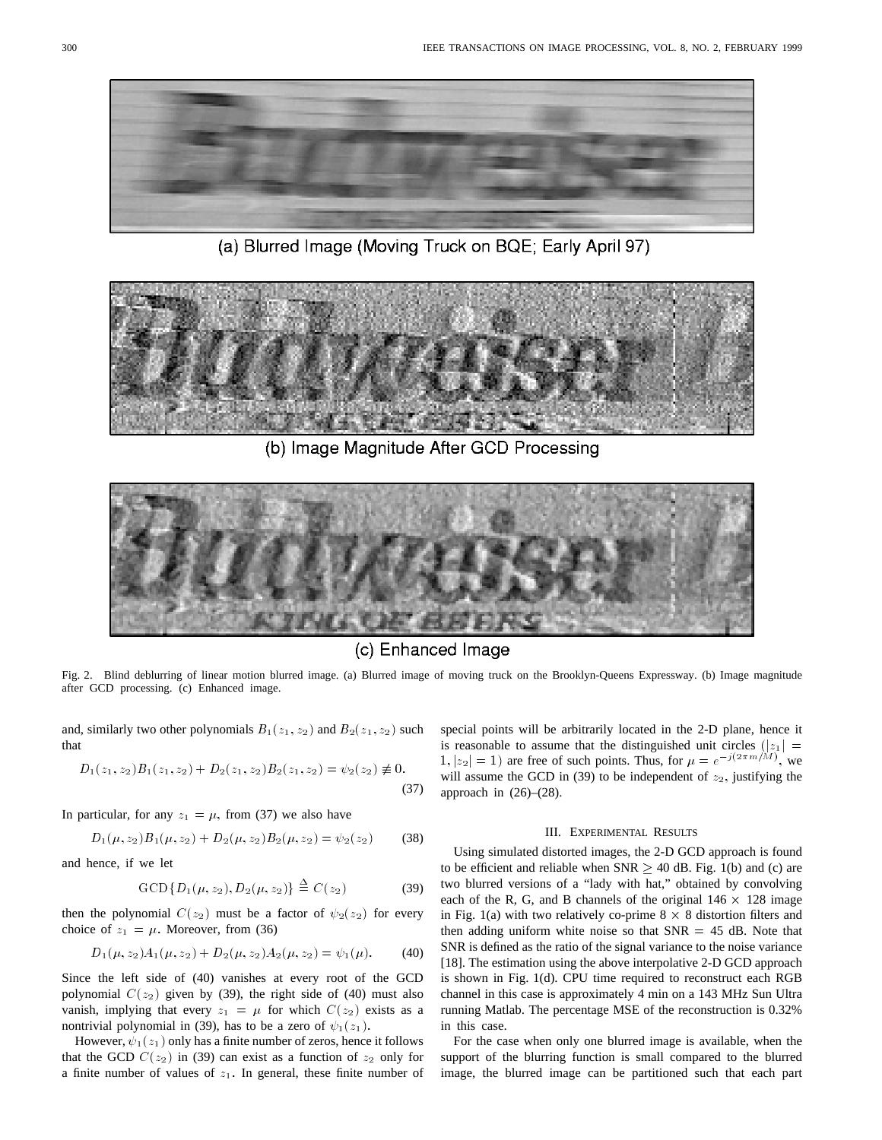

(a) Blurred Image (Moving Truck on BQE; Early April 97)



(b) Image Magnitude After GCD Processing



# (c) Enhanced Image

Fig. 2. Blind deblurring of linear motion blurred image. (a) Blurred image of moving truck on the Brooklyn-Queens Expressway. (b) Image magnitude after GCD processing. (c) Enhanced image.

and, similarly two other polynomials  $B_1(z_1, z_2)$  and  $B_2(z_1, z_2)$  such that

$$
D_1(z_1, z_2)B_1(z_1, z_2) + D_2(z_1, z_2)B_2(z_1, z_2) = \psi_2(z_2) \neq 0.
$$
\n(37)

In particular, for any  $z_1 = \mu$ , from (37) we also have

$$
D_1(\mu, z_2)B_1(\mu, z_2) + D_2(\mu, z_2)B_2(\mu, z_2) = \psi_2(z_2)
$$
 (38)

and hence, if we let

$$
GCD\{D_1(\mu, z_2), D_2(\mu, z_2)\}\stackrel{\Delta}{=} C(z_2)
$$
 (39)

then the polynomial  $C(z_2)$  must be a factor of  $\psi_2(z_2)$  for every choice of  $z_1 = \mu$ . Moreover, from (36)

$$
D_1(\mu, z_2)A_1(\mu, z_2) + D_2(\mu, z_2)A_2(\mu, z_2) = \psi_1(\mu). \tag{40}
$$

Since the left side of (40) vanishes at every root of the GCD polynomial  $C(z_2)$  given by (39), the right side of (40) must also vanish, implying that every  $z_1 = \mu$  for which  $C(z_2)$  exists as a nontrivial polynomial in (39), has to be a zero of  $\psi_1(z_1)$ .

However,  $\psi_1(z_1)$  only has a finite number of zeros, hence it follows that the GCD  $C(z_2)$  in (39) can exist as a function of  $z_2$  only for a finite number of values of  $z_1$ . In general, these finite number of

special points will be arbitrarily located in the 2-D plane, hence it<br>is reasonable to assume that the distinguished unit circles  $(|z_1| = 1, |z_2| = 1)$  are free of such points. Thus, for  $\mu = e^{-j(2\pi m/M)}$ , we is reasonable to assume that the distinguished unit circles  $(|z_1|)$  $|1, |z_2| = 1$ ) are free of such points. Thus, for  $\mu = e^{-j(2\pi m/M)}$ , we will assume the GCD in (39) to be independent of  $z_2$ , justifying the approach in  $(26)$ – $(28)$ .

## III. EXPERIMENTAL RESULTS

Using simulated distorted images, the 2-D GCD approach is found to be efficient and reliable when SNR  $\geq$  40 dB. Fig. 1(b) and (c) are two blurred versions of a "lady with hat," obtained by convolving each of the R, G, and B channels of the original  $146 \times 128$  image in Fig. 1(a) with two relatively co-prime  $8 \times 8$  distortion filters and then adding uniform white noise so that  $SNR = 45$  dB. Note that SNR is defined as the ratio of the signal variance to the noise variance [18]. The estimation using the above interpolative 2-D GCD approach is shown in Fig. 1(d). CPU time required to reconstruct each RGB channel in this case is approximately 4 min on a 143 MHz Sun Ultra running Matlab. The percentage MSE of the reconstruction is 0.32% in this case.

For the case when only one blurred image is available, when the support of the blurring function is small compared to the blurred image, the blurred image can be partitioned such that each part